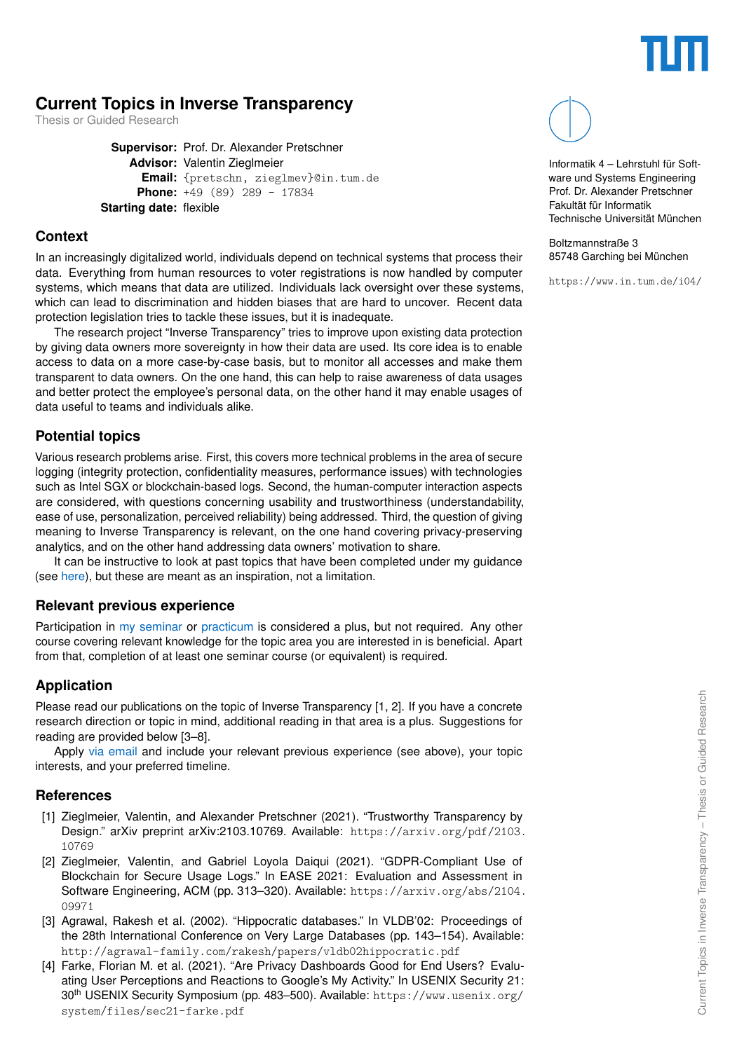

# **Current Topics in Inverse Transparency**

Thesis or Guided Research

**Supervisor:** Prof. Dr. Alexander Pretschner **Advisor:** Valentin Zieglmeier **Email:** {pretschn, zieglmev}@in.tum.de **Phone:** +49 (89) 289 - 17834 **Starting date:** flexible

#### **Context**

In an increasingly digitalized world, individuals depend on technical systems that process their data. Everything from human resources to voter registrations is now handled by computer systems, which means that data are utilized. Individuals lack oversight over these systems, which can lead to discrimination and hidden biases that are hard to uncover. Recent data protection legislation tries to tackle these issues, but it is inadequate.

The research project "Inverse Transparency" tries to improve upon existing data protection by giving data owners more sovereignty in how their data are used. Its core idea is to enable access to data on a more case-by-case basis, but to monitor all accesses and make them transparent to data owners. On the one hand, this can help to raise awareness of data usages and better protect the employee's personal data, on the other hand it may enable usages of data useful to teams and individuals alike.

## **Potential topics**

Various research problems arise. First, this covers more technical problems in the area of secure logging (integrity protection, confidentiality measures, performance issues) with technologies such as Intel SGX or blockchain-based logs. Second, the human-computer interaction aspects are considered, with questions concerning usability and trustworthiness (understandability, ease of use, personalization, perceived reliability) being addressed. Third, the question of giving meaning to Inverse Transparency is relevant, on the one hand covering privacy-preserving analytics, and on the other hand addressing data owners' motivation to share.

It can be instructive to look at past topics that have been completed under my guidance (see [here\)](https://www.in.tum.de/i04/zieglmeier/), but these are meant as an inspiration, not a limitation.

## **Relevant previous experience**

Participation in [my seminar](https://www.in.tum.de/en/i04/teaching/seminar-inverse-transparency/) or [practicum](https://www.in.tum.de/en/i04/teaching/practicum-inverse-transparency/) is considered a plus, but not required. Any other course covering relevant knowledge for the topic area you are interested in is beneficial. Apart from that, completion of at least one seminar course (or equivalent) is required.

## **Application**

Please read our publications on the topic of Inverse Transparency [\[1,](#page-0-0) [2\]](#page-0-1). If you have a concrete research direction or topic in mind, additional reading in that area is a plus. Suggestions for reading are provided below [3–8].

Apply [via email](mailto:zieglmev@in.tum.de{}) and include your relevant previous experience (see above), your topic interests, and your preferred timeline.

#### **References**

- <span id="page-0-0"></span>[1] Zieglmeier, Valentin, and Alexander Pretschner (2021). "Trustworthy Transparency by Design." arXiv preprint arXiv:2103.10769. Available: [https://arxiv.org/pdf/2103.](https://arxiv.org/pdf/2103.10769) [10769](https://arxiv.org/pdf/2103.10769)
- <span id="page-0-1"></span>[2] Zieglmeier, Valentin, and Gabriel Loyola Daiqui (2021). "GDPR-Compliant Use of Blockchain for Secure Usage Logs." In EASE 2021: Evaluation and Assessment in Software Engineering, ACM (pp. 313–320). Available: [https://arxiv.org/abs/2104.](https://arxiv.org/abs/2104.09971) [09971](https://arxiv.org/abs/2104.09971)
- [3] Agrawal, Rakesh et al. (2002). "Hippocratic databases." In VLDB'02: Proceedings of the 28th International Conference on Very Large Databases (pp. 143–154). Available: <http://agrawal-family.com/rakesh/papers/vldb02hippocratic.pdf>
- [4] Farke, Florian M. et al. (2021). "Are Privacy Dashboards Good for End Users? Evaluating User Perceptions and Reactions to Google's My Activity." In USENIX Security 21: 30th USENIX Security Symposium (pp. 483–500). Available: [https://www.usenix.org/](https://www.usenix.org/system/files/sec21-farke.pdf) [system/files/sec21-farke.pdf](https://www.usenix.org/system/files/sec21-farke.pdf)



Informatik 4 – Lehrstuhl für Software und Systems Engineering Prof. Dr. Alexander Pretschner Fakultät für Informatik Technische Universität München

Boltzmannstraße 3 85748 Garching bei München

<https://www.in.tum.de/i04/>